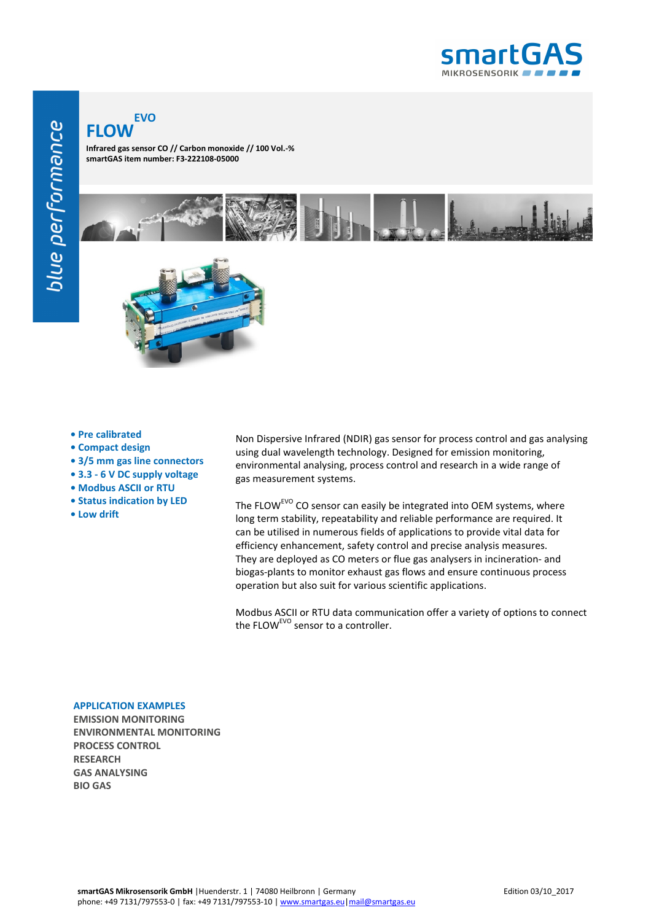

## **FLOW EVO**

**Infrared gas sensor CO // Carbon monoxide // 100 Vol.-% smartGAS item number: F3-222108-05000**



- **Pre calibrated**
- **Compact design**
- **3/5 mm gas line connectors**
- **3.3 6 V DC supply voltage**
- **Modbus ASCII or RTU**
- **Status indication by LED**
- **Low drift**

Non Dispersive Infrared (NDIR) gas sensor for process control and gas analysing using dual wavelength technology. Designed for emission monitoring, environmental analysing, process control and research in a wide range of gas measurement systems.

The FLOW<sup>EVO</sup> CO sensor can easily be integrated into OEM systems, where long term stability, repeatability and reliable performance are required. It can be utilised in numerous fields of applications to provide vital data for efficiency enhancement, safety control and precise analysis measures. They are deployed as CO meters or flue gas analysers in incineration- and biogas-plants to monitor exhaust gas flows and ensure continuous process operation but also suit for various scientific applications.

Modbus ASCII or RTU data communication offer a variety of options to connect the FLOW<sup>EVO</sup> sensor to a controller.

## **APPLICATION EXAMPLES**

**EMISSION MONITORING ENVIRONMENTAL MONITORING PROCESS CONTROL RESEARCH GAS ANALYSING BIO GAS**